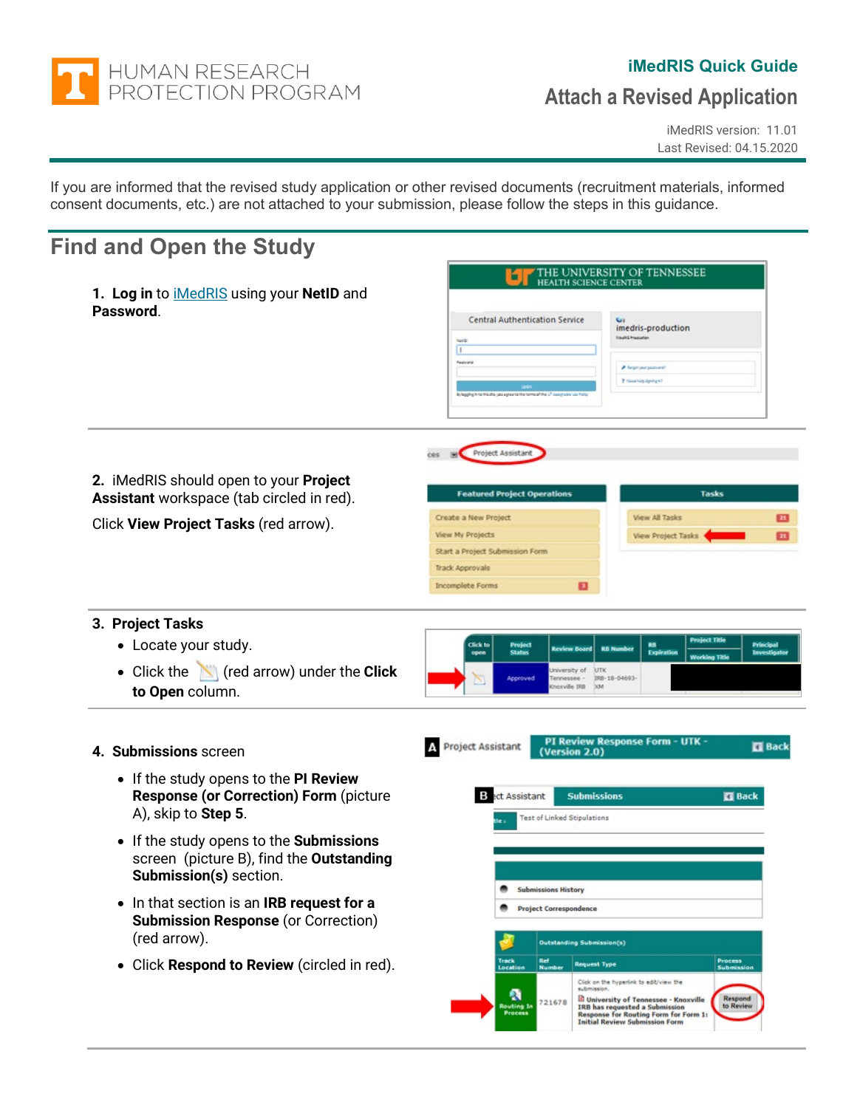

### **iMedRIS Quick Guide**

# **Attach a Revised Application**

iMedRIS version: 11.01 Last Revised: 04.15.2020

If you are informed that the revised study application or other revised documents (recruitment materials, informed consent documents, etc.) are not attached to your submission, please follow the steps in this guidance.

## **Find and Open the Study**

| <b>Central Authentication Service</b><br>imedris-production<br><b>Neekli Production</b><br>Netb<br>π<br>Pastrant<br>P Regargements<br>P Headholy dynkig left<br>Britannika kuta this dha yao ampa ta tha tamical the UT basercable us Polic |                                                     |
|---------------------------------------------------------------------------------------------------------------------------------------------------------------------------------------------------------------------------------------------|-----------------------------------------------------|
| Project Assistant<br><b>Tasks</b><br><b>Featured Project Operations</b>                                                                                                                                                                     |                                                     |
| <b>View All Tasks</b><br>Create a New Project<br><b>View My Projects</b><br><b>View Project Tasks</b><br>Start a Project Submission Form<br><b>Track Approvals</b><br>o<br><b>Incomplete Forms</b>                                          | 团<br>$\overline{\mathbf{H}}$                        |
| <b>Project Title</b><br><b>Click to</b><br><b>RB</b><br>Project<br><b>Review Board</b><br><b>RB Number</b><br>open                                                                                                                          | Principal<br>Investigato                            |
| <b>Jniversity of UTK</b><br>Approved<br>Tennessee -<br>IRB-18-04693-<br>Incoville IRB XM                                                                                                                                                    |                                                     |
| PI Review Response Form - UTK -<br>Project Assistant<br>(Version 2.0)                                                                                                                                                                       | <b>ET</b> Back                                      |
| <b>Submissions</b><br>в<br>ect Assistant<br>Test of Linked Stipulations                                                                                                                                                                     | <b>ET</b> Back                                      |
|                                                                                                                                                                                                                                             | Expiration<br><b>Status</b><br><b>Working Title</b> |

۰

**Submissions History Project Correspondence** 

Ref<sub>t</sub>

21678

Outstanding Submission(s)

**Request Type** 

Click on the hyperlink to edit/view the

m for F

**Et University of Tennesse<br>IRB has requested a Subm**<br>Response for Routing Fort<br>Initial Review Submission

- If the study opens to the **Submissions** screen (picture B), find the **Outstanding Submission(s)** section.
- In that section is an **IRB request for a Submission Response** (or Correction) (red arrow).
- Click **Respond to Review** (circled in red).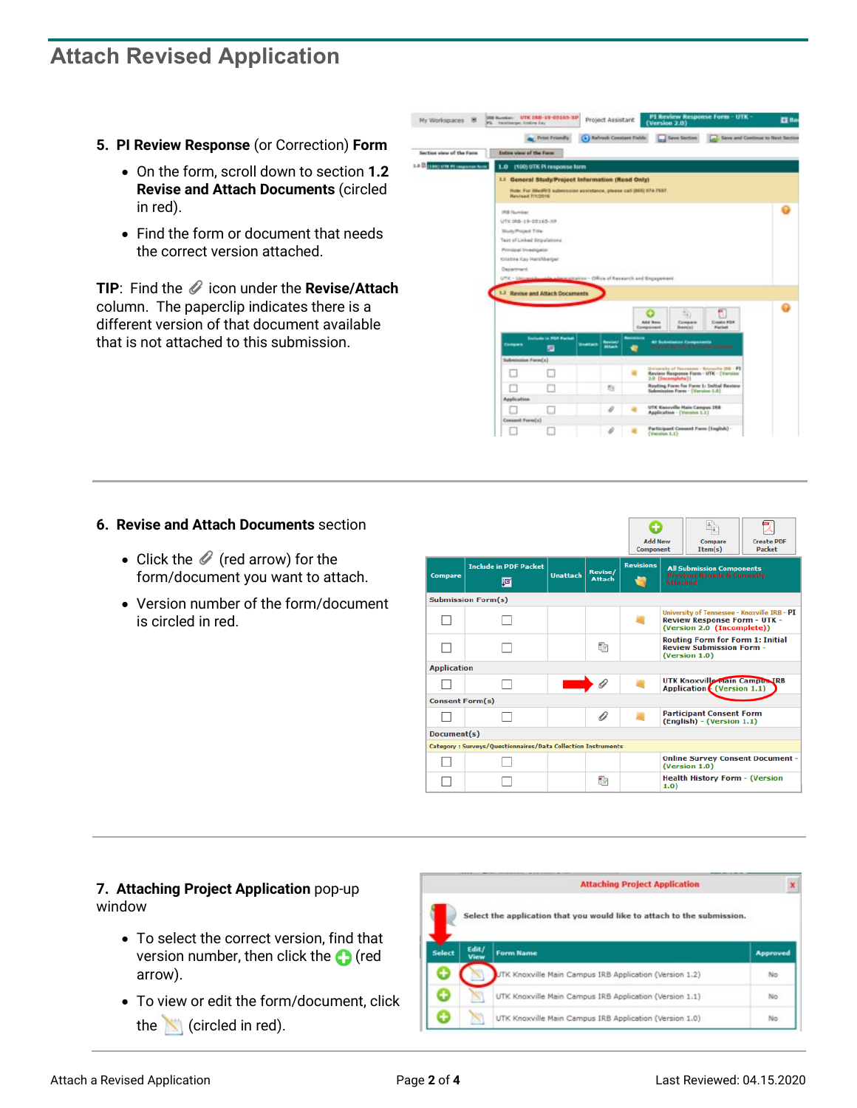## **Attach Revised Application**

- **5. PI Review Response** (or Correction) **Form**
	- On the form, scroll down to section **1.2 Revise and Attach Documents** (circled in red).
	- Find the form or document that needs the correct version attached.

**TIP:** Find the  $\mathcal O$  icon under the **Revise/Attach** column. The paperclip indicates there is a different version of that document available that is not attached to this submission.

une nun-sa-ensen-am Project Assistant My Workspaces # 2 **AL** Print Fries  $(4)$  by w of the Form La Bosse une et com-1.0 (100) UTK Pl respo 1 General Study Project Information (Read Only) Note: For illindR15 submission assistance, please call (895) 976-1 Ō **RB Number** THE 1988-119-205-140-220 **Study Project Title: Test of Lisbed Shippin** Principal Investigator **UTIHA Kay Ha** 2 Bevine and Att ō œ o  $\Box$  $\Box$  $\Box$ ti.  $\Box$  $\Box$ s  $\Box$  $\Box$ 

### **6. Revise and Attach Documents** section

- Click the  $\mathscr O$  (red arrow) for the form/document you want to attach.
- Version number of the form/document is circled in red.

|                                                              |                                   |                 |                          | ÷<br><b>Add New</b><br>Component |                                                                                               | Compare<br>Item(s)                                                                                                | <b>Create PDF</b><br><b>Packet</b> |  |
|--------------------------------------------------------------|-----------------------------------|-----------------|--------------------------|----------------------------------|-----------------------------------------------------------------------------------------------|-------------------------------------------------------------------------------------------------------------------|------------------------------------|--|
| <b>Compare</b>                                               | <b>Include in PDF Packet</b><br>唒 | <b>Unattach</b> | Revise/<br><b>Attach</b> | <b>Revisions</b><br>×            | <b>All Submission Components</b><br><b>Previous Rounds &amp; Currently</b><br><b>Attached</b> |                                                                                                                   |                                    |  |
|                                                              | <b>Submission Form(s)</b>         |                 |                          |                                  |                                                                                               |                                                                                                                   |                                    |  |
|                                                              |                                   |                 |                          |                                  |                                                                                               | University of Tennessee - Knoxville IRB - PI<br><b>Review Response Form - UTK -</b><br>(Version 2.0 (Incomplete)) |                                    |  |
|                                                              |                                   |                 | ×.                       |                                  |                                                                                               | <b>Routing Form for Form 1: Initial</b><br><b>Review Submission Form -</b><br>(Version 1.0)                       |                                    |  |
| <b>Application</b>                                           |                                   |                 |                          |                                  |                                                                                               |                                                                                                                   |                                    |  |
|                                                              |                                   |                 |                          |                                  | <b>UTK Knoxville Main Campus IRB</b><br><b>Application</b> (Version 1.1)                      |                                                                                                                   |                                    |  |
|                                                              | <b>Consent Form(s)</b>            |                 |                          |                                  |                                                                                               |                                                                                                                   |                                    |  |
|                                                              |                                   |                 | 0                        |                                  | <b>Participant Consent Form</b><br>(English) - (Version 1.1)                                  |                                                                                                                   |                                    |  |
| Document(s)                                                  |                                   |                 |                          |                                  |                                                                                               |                                                                                                                   |                                    |  |
| Category: Surveys/Ouestionnaires/Data Collection Instruments |                                   |                 |                          |                                  |                                                                                               |                                                                                                                   |                                    |  |
|                                                              |                                   |                 |                          |                                  | <b>Online Survey Consent Document -</b><br>(Version 1.0)                                      |                                                                                                                   |                                    |  |
|                                                              |                                   |                 | × )                      |                                  | <b>Health History Form - (Version</b><br>1.0)                                                 |                                                                                                                   |                                    |  |

#### **7. Attaching Project Application** pop-up window

- To select the correct version, find that version number, then click the  $\bigcap$  (red arrow).
- To view or edit the form/document, click the  $\left\lfloor \right\rfloor$  (circled in red).

|        |               | <b>Attaching Project Application</b>                                    |          |
|--------|---------------|-------------------------------------------------------------------------|----------|
|        |               | Select the application that you would like to attach to the submission. |          |
| Select | Edit/<br>View | <b>Form Name</b>                                                        | Approved |
| ۰      |               | UTK Knoxville Main Campus IRB Application (Version 1.2)                 | No       |
| œ      |               | UTK Knoxville Main Campus IRB Application (Version 1.1)                 | No       |
| +      |               | UTK Knoxville Main Campus IRB Application (Version 1.0)                 | No       |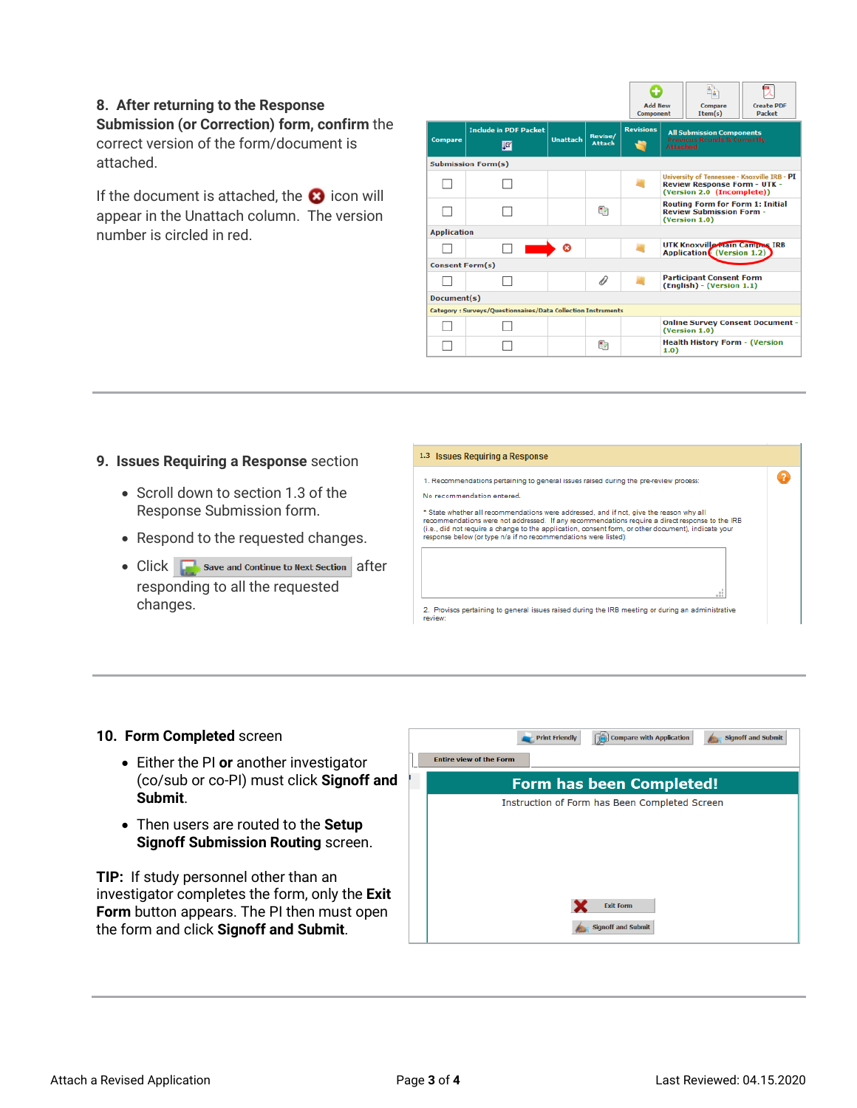#### **8. After returning to the Response**

**Submission (or Correction) form, confirm** the correct version of the form/document is attached.

If the document is attached, the  $\bullet$  icon will appear in the Unattach column. The version number is circled in red.

|                                                              |                                           |                 |                          | <b>Add New</b><br>Component |                                                                                               | Compare<br>Item(s)                                                | <b>Create PDF</b><br><b>Packet</b>           |
|--------------------------------------------------------------|-------------------------------------------|-----------------|--------------------------|-----------------------------|-----------------------------------------------------------------------------------------------|-------------------------------------------------------------------|----------------------------------------------|
| <b>Compare</b>                                               | <b>Include in PDF Packet</b><br><b>IE</b> | <b>Hnattach</b> | Revise/<br><b>Attach</b> | <b>Revisions</b>            | <b>All Submission Components</b><br><b>Previous Rounds &amp; Currently</b><br><b>Attached</b> |                                                                   |                                              |
|                                                              | <b>Submission Form(s)</b>                 |                 |                          |                             |                                                                                               |                                                                   |                                              |
|                                                              |                                           |                 |                          |                             |                                                                                               | <b>Review Response Form - UTK -</b><br>(Version 2.0 (Incomplete)) | University of Tennessee - Knoxville IRB - PI |
|                                                              |                                           |                 | ×.                       |                             | <b>Routing Form for Form 1: Initial</b><br><b>Review Submission Form -</b><br>(Version 1.0)   |                                                                   |                                              |
|                                                              | <b>Application</b>                        |                 |                          |                             |                                                                                               |                                                                   |                                              |
|                                                              |                                           | Ø               |                          |                             | <b>UTK Knoxville Main Campus IRB</b><br><b>Application (Version 1.2)</b>                      |                                                                   |                                              |
| <b>Consent Form(s)</b>                                       |                                           |                 |                          |                             |                                                                                               |                                                                   |                                              |
|                                                              |                                           |                 | O                        |                             | <b>Participant Consent Form</b><br>(English) - (Version 1.1)                                  |                                                                   |                                              |
| Document(s)                                                  |                                           |                 |                          |                             |                                                                                               |                                                                   |                                              |
| Category: Surveys/Questionnaires/Data Collection Instruments |                                           |                 |                          |                             |                                                                                               |                                                                   |                                              |
|                                                              |                                           |                 |                          |                             | <b>Online Survey Consent Document -</b><br>(Version 1.0)                                      |                                                                   |                                              |
|                                                              |                                           |                 | ۳                        |                             | <b>Health History Form - (Version</b><br>1.0)                                                 |                                                                   |                                              |

#### **9. Issues Requiring a Response** section

- Scroll down to section 1.3 of the Response Submission form.
- Respond to the requested changes.
- $Click \fbox{Save and Continue to Next Section}$  after responding to all the requested changes.



#### **10. Form Completed** screen

- Either the PI **or** another investigator (co/sub or co-PI) must click **Signoff and Submit**.
- Then users are routed to the **Setup Signoff Submission Routing** screen.

**TIP:** If study personnel other than an investigator completes the form, only the **Exit Form** button appears. The PI then must open the form and click **Signoff and Submit**.

| Compare with Application<br><b>Signoff and Submit</b><br><b>Print Friendly</b><br><b>Entire view of the Form</b> |
|------------------------------------------------------------------------------------------------------------------|
| <b>Form has been Completed!</b>                                                                                  |
| Instruction of Form has Been Completed Screen                                                                    |
| <b>Exit Form</b>                                                                                                 |
| <b>Signoff and Submit</b>                                                                                        |